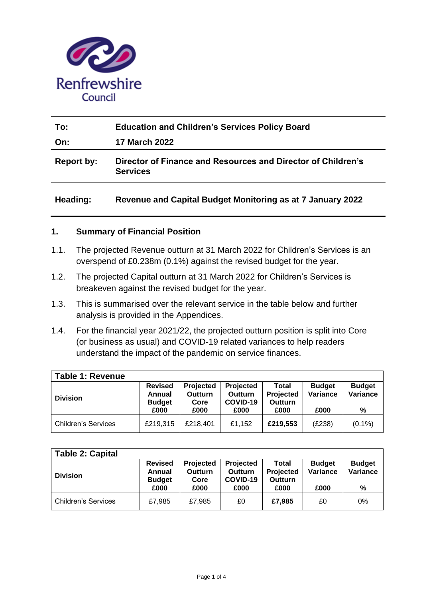

| To:               | <b>Education and Children's Services Policy Board</b>                           |  |  |  |  |  |  |
|-------------------|---------------------------------------------------------------------------------|--|--|--|--|--|--|
| On:               | <b>17 March 2022</b>                                                            |  |  |  |  |  |  |
| <b>Report by:</b> | Director of Finance and Resources and Director of Children's<br><b>Services</b> |  |  |  |  |  |  |
| Heading:          | <b>Revenue and Capital Budget Monitoring as at 7 January 2022</b>               |  |  |  |  |  |  |

## **1. Summary of Financial Position**

- 1.1. The projected Revenue outturn at 31 March 2022 for Children's Services is an overspend of £0.238m (0.1%) against the revised budget for the year.
- 1.2. The projected Capital outturn at 31 March 2022 for Children's Services is breakeven against the revised budget for the year.
- 1.3. This is summarised over the relevant service in the table below and further analysis is provided in the Appendices.
- 1.4. For the financial year 2021/22, the projected outturn position is split into Core (or business as usual) and COVID-19 related variances to help readers understand the impact of the pandemic on service finances.

| <b>Table 1: Revenue</b>    |                                           |                                            |                                         |                                      |                           |                           |
|----------------------------|-------------------------------------------|--------------------------------------------|-----------------------------------------|--------------------------------------|---------------------------|---------------------------|
| <b>Division</b>            | <b>Revised</b><br>Annual<br><b>Budget</b> | <b>Projected</b><br><b>Outturn</b><br>Core | Projected<br><b>Outturn</b><br>COVID-19 | Total<br>Projected<br><b>Outturn</b> | <b>Budget</b><br>Variance | <b>Budget</b><br>Variance |
|                            | £000                                      | £000                                       | £000                                    | £000                                 | £000                      | %                         |
| <b>Children's Services</b> | £219,315                                  | £218,401                                   | £1,152                                  | £219,553                             | (E238)                    | $(0.1\%)$                 |

| <b>Table 2: Capital</b>    |                                                   |                                                    |                                          |                                       |                                   |                                |
|----------------------------|---------------------------------------------------|----------------------------------------------------|------------------------------------------|---------------------------------------|-----------------------------------|--------------------------------|
| <b>Division</b>            | <b>Revised</b><br>Annual<br><b>Budget</b><br>£000 | <b>Projected</b><br><b>Outturn</b><br>Core<br>£000 | Projected<br>Outturn<br>COVID-19<br>£000 | Total<br>Projected<br>Outturn<br>£000 | <b>Budget</b><br>Variance<br>£000 | <b>Budget</b><br>Variance<br>% |
| <b>Children's Services</b> | £7.985                                            | £7.985                                             | £0                                       | £7,985                                | £0                                | 0%                             |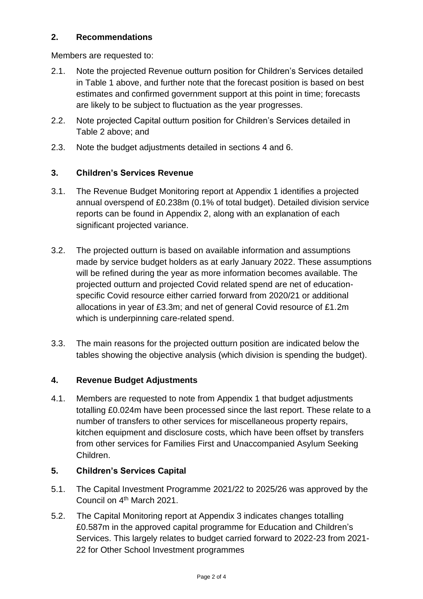## **2. Recommendations**

Members are requested to:

- 2.1. Note the projected Revenue outturn position for Children's Services detailed in Table 1 above, and further note that the forecast position is based on best estimates and confirmed government support at this point in time; forecasts are likely to be subject to fluctuation as the year progresses.
- 2.2. Note projected Capital outturn position for Children's Services detailed in Table 2 above; and
- 2.3. Note the budget adjustments detailed in sections 4 and 6.

## **3. Children's Services Revenue**

- 3.1. The Revenue Budget Monitoring report at Appendix 1 identifies a projected annual overspend of £0.238m (0.1% of total budget). Detailed division service reports can be found in Appendix 2, along with an explanation of each significant projected variance.
- 3.2. The projected outturn is based on available information and assumptions made by service budget holders as at early January 2022. These assumptions will be refined during the year as more information becomes available. The projected outturn and projected Covid related spend are net of educationspecific Covid resource either carried forward from 2020/21 or additional allocations in year of £3.3m; and net of general Covid resource of £1.2m which is underpinning care-related spend.
- 3.3. The main reasons for the projected outturn position are indicated below the tables showing the objective analysis (which division is spending the budget).

## **4. Revenue Budget Adjustments**

4.1. Members are requested to note from Appendix 1 that budget adjustments totalling £0.024m have been processed since the last report. These relate to a number of transfers to other services for miscellaneous property repairs, kitchen equipment and disclosure costs, which have been offset by transfers from other services for Families First and Unaccompanied Asylum Seeking Children.

## **5. Children's Services Capital**

- 5.1. The Capital Investment Programme 2021/22 to 2025/26 was approved by the Council on 4<sup>th</sup> March 2021.
- 5.2. The Capital Monitoring report at Appendix 3 indicates changes totalling £0.587m in the approved capital programme for Education and Children's Services. This largely relates to budget carried forward to 2022-23 from 2021- 22 for Other School Investment programmes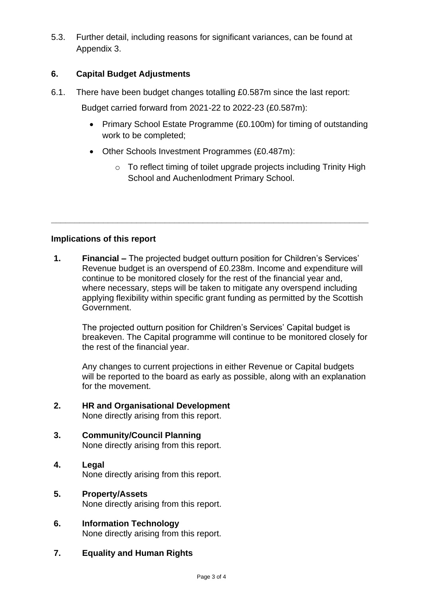5.3. Further detail, including reasons for significant variances, can be found at Appendix 3.

# **6. Capital Budget Adjustments**

6.1. There have been budget changes totalling £0.587m since the last report:

Budget carried forward from 2021-22 to 2022-23 (£0.587m):

- Primary School Estate Programme (£0.100m) for timing of outstanding work to be completed;
- Other Schools Investment Programmes (£0.487m):
	- o To reflect timing of toilet upgrade projects including Trinity High School and Auchenlodment Primary School.

## **Implications of this report**

**1. Financial –** The projected budget outturn position for Children's Services' Revenue budget is an overspend of £0.238m. Income and expenditure will continue to be monitored closely for the rest of the financial year and, where necessary, steps will be taken to mitigate any overspend including applying flexibility within specific grant funding as permitted by the Scottish Government.

**\_\_\_\_\_\_\_\_\_\_\_\_\_\_\_\_\_\_\_\_\_\_\_\_\_\_\_\_\_\_\_\_\_\_\_\_\_\_\_\_\_\_\_\_\_\_\_\_\_\_\_\_\_\_\_\_\_\_\_\_\_\_\_\_\_\_\_**

The projected outturn position for Children's Services' Capital budget is breakeven. The Capital programme will continue to be monitored closely for the rest of the financial year.

Any changes to current projections in either Revenue or Capital budgets will be reported to the board as early as possible, along with an explanation for the movement.

- **2. HR and Organisational Development** None directly arising from this report.
- **3. Community/Council Planning** None directly arising from this report.
- **4. Legal**  None directly arising from this report.
- **5. Property/Assets** None directly arising from this report.
- **6. Information Technology**  None directly arising from this report.
- **7. Equality and Human Rights**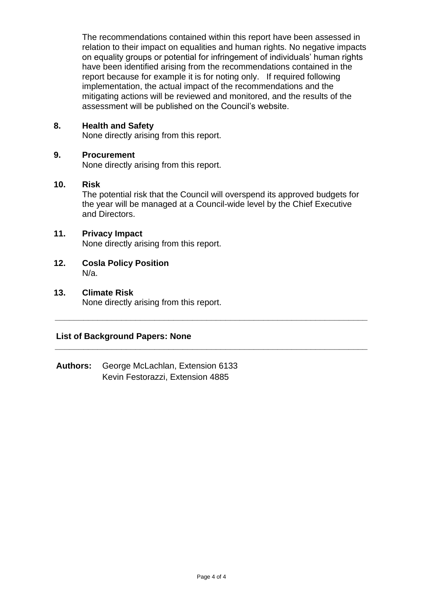The recommendations contained within this report have been assessed in relation to their impact on equalities and human rights. No negative impacts on equality groups or potential for infringement of individuals' human rights have been identified arising from the recommendations contained in the report because for example it is for noting only. If required following implementation, the actual impact of the recommendations and the mitigating actions will be reviewed and monitored, and the results of the assessment will be published on the Council's website.

### **8. Health and Safety**

None directly arising from this report.

### **9. Procurement**

None directly arising from this report.

### **10. Risk**

The potential risk that the Council will overspend its approved budgets for the year will be managed at a Council-wide level by the Chief Executive and Directors.

**\_\_\_\_\_\_\_\_\_\_\_\_\_\_\_\_\_\_\_\_\_\_\_\_\_\_\_\_\_\_\_\_\_\_\_\_\_\_\_\_\_\_\_\_\_\_\_\_\_\_\_\_\_\_\_\_\_\_\_\_\_\_\_\_\_\_**

**\_\_\_\_\_\_\_\_\_\_\_\_\_\_\_\_\_\_\_\_\_\_\_\_\_\_\_\_\_\_\_\_\_\_\_\_\_\_\_\_\_\_\_\_\_\_\_\_\_\_\_\_\_\_\_\_\_\_\_\_\_\_\_\_\_\_**

### **11. Privacy Impact**

None directly arising from this report.

- **12. Cosla Policy Position** N/a.
- **13. Climate Risk** None directly arising from this report.

## **List of Background Papers: None**

**Authors:** George McLachlan, Extension 6133 Kevin Festorazzi, Extension 4885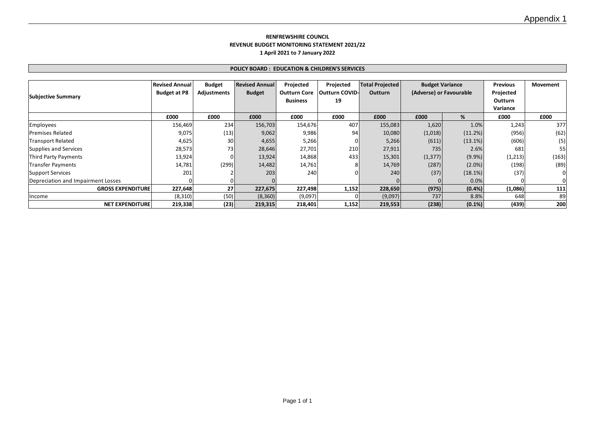#### **RENFREWSHIRE COUNCIL REVENUE BUDGET MONITORING STATEMENT 2021/22 1 April 2021 to 7 January 2022**

#### **POLICY BOARD : EDUCATION & CHILDREN'S SERVICES**

|                                    | <b>Revised Annual</b> | <b>Budget</b>      | <b>Revised Annual</b> | Projected           | Projected      | <b>Total Projected</b> | <b>Budget Variance</b>  |            | Previous       | Movement |
|------------------------------------|-----------------------|--------------------|-----------------------|---------------------|----------------|------------------------|-------------------------|------------|----------------|----------|
|                                    | <b>Budget at P8</b>   | <b>Adjustments</b> | <b>Budget</b>         | <b>Outturn Core</b> | Outturn COVID- | <b>Outturn</b>         | (Adverse) or Favourable |            | Projected      |          |
| <b>Subjective Summary</b>          |                       |                    |                       | <b>Business</b>     | 19             |                        |                         |            | <b>Outturn</b> |          |
|                                    |                       |                    |                       |                     |                |                        |                         |            | Variance       |          |
|                                    | £000                  | £000               | £000                  | £000                | £000           | £000                   | £000                    | %          | £000           | £000     |
| <b>Employees</b>                   | 156,469               | 234                | 156,703               | 154,676             | 407            | 155,083                | 1,620                   | 1.0%       | 1,243          | 377      |
| <b>Premises Related</b>            | 9,075                 | (13)               | 9,062                 | 9,986               | 94             | 10,080                 | (1,018)                 | (11.2%)    | (956)          | (62)     |
| <b>Transport Related</b>           | 4,625                 | 30 <sup>1</sup>    | 4,655                 | 5,266               |                | 5,266                  | (611)                   | $(13.1\%)$ | (606)          | (5)      |
| Supplies and Services              | 28,573                | 73                 | 28,646                | 27,701              | 210            | 27,911                 | 735                     | 2.6%       | 681            | 55       |
| Third Party Payments               | 13,924                |                    | 13,924                | 14,868              | 433            | 15,301                 | (1, 377)                | $(9.9\%)$  | (1,213)        | (163)    |
| <b>Transfer Payments</b>           | 14,781                | (299)              | 14,482                | 14,761              |                | 14,769                 | (287)                   | $(2.0\%)$  | (198)          | (89)     |
| <b>Support Services</b>            | 201                   |                    | 203                   | 240                 |                | 240                    | (37)                    | $(18.1\%)$ | (37)           |          |
| Depreciation and Impairment Losses |                       |                    |                       |                     |                |                        |                         | 0.0%       |                |          |
| <b>GROSS EXPENDITURE</b>           | 227,648               | 27 <sup>1</sup>    | 227,675               | 227,498             | 1,152          | 228,650                | (975)                   | (0.4% )    | (1,086)        | 111      |
| Income                             | (8,310)               | (50)               | (8,360)               | (9,097)             |                | (9,097)                | 737                     | 8.8%       | 648            | 89       |
| <b>NET EXPENDITURE</b>             | 219,338               | (23)               | 219,315               | 218,401             | 1,152          | 219,553                | (238)                   | $(0.1\%)$  | (439)          | 200      |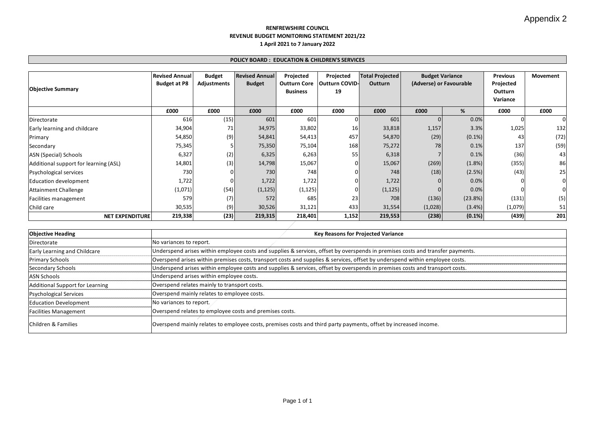#### **RENFREWSHIRE COUNCIL REVENUE BUDGET MONITORING STATEMENT 2021/22 1 April 2021 to 7 January 2022**

#### **POLICY BOARD : EDUCATION & CHILDREN'S SERVICES**

|                                       | <b>Revised Annual</b> | <b>Budget</b> | <b>Revised Annual</b> | Projected           | Projected             | <b>Total Projected</b> | <b>Budget Variance</b>  |            | <b>Previous</b> | Movement |
|---------------------------------------|-----------------------|---------------|-----------------------|---------------------|-----------------------|------------------------|-------------------------|------------|-----------------|----------|
|                                       | <b>Budget at P8</b>   | Adjustments   | <b>Budget</b>         | <b>Outturn Core</b> | <b>Outturn COVID-</b> | <b>Outturn</b>         | (Adverse) or Favourable |            | Projected       |          |
| <b>Objective Summary</b>              |                       |               |                       | <b>Business</b>     | 19                    |                        |                         |            | Outturn         |          |
|                                       |                       |               |                       |                     |                       |                        |                         |            | Variance        |          |
|                                       | £000                  | £000          | £000                  | £000                | £000                  | £000                   | £000                    | %          | £000            | £000     |
| Directorate                           | 616                   | (15)          | 601                   | 601                 |                       | 601                    |                         | 0.0%       |                 |          |
| Early learning and childcare          | 34,904                | 71            | 34,975                | 33,802              | 16                    | 33,818                 | 1,157                   | 3.3%       | 1,025           | 132      |
| Primary                               | 54,850                | (9)           | 54,841                | 54,413              | 457                   | 54,870                 | (29)                    | $(0.1\%)$  | 43              | (72)     |
| Secondary                             | 75,345                |               | 75,350                | 75,104              | 168                   | 75,272                 | 78                      | 0.1%       | 137             | (59)     |
| ASN (Special) Schools                 | 6,327                 | (2)           | 6,325                 | 6,263               | 55                    | 6,318                  |                         | 0.1%       | (36)            | 43       |
| Additional support for learning (ASL) | 14,801                | (3)           | 14,798                | 15,067              |                       | 15,067                 | (269)                   | $(1.8\%)$  | (355)           | 86       |
| Psychological services                | 730                   |               | 730                   | 748                 |                       | 748                    | (18)                    | (2.5%)     | (43)            | 25       |
| Education development                 | 1,722                 |               | 1,722                 | 1,722               |                       | 1,722                  |                         | 0.0%       |                 |          |
| <b>Attainment Challenge</b>           | (1,071)               | (54)          | (1, 125)              | (1, 125)            |                       | (1, 125)               |                         | 0.0%       |                 |          |
| Facilities management                 | 579                   | (7)           | 572                   | 685                 | 23                    | 708                    | (136)                   | $(23.8\%)$ | (131)           | (5)      |
| Child care                            | 30,535                | (9)           | 30,526                | 31,121              | 433                   | 31,554                 | (1,028)                 | $(3.4\%)$  | (1,079)         | 51       |
| <b>NET EXPENDITURE</b>                | 219,338               | (23)          | 219,315               | 218,401             | 1,152                 | 219,553                | (238)                   | $(0.1\%)$  | (439)           | 201      |

| <b>Objective Heading</b>            | <b>Key Reasons for Projected Variance</b>                                                                                      |
|-------------------------------------|--------------------------------------------------------------------------------------------------------------------------------|
| Directorate                         | No variances to report.                                                                                                        |
| <b>Early Learning and Childcare</b> | Underspend arises within employee costs and supplies & services, offset by overspends in premises costs and transfer payments. |
| <b>Primary Schools</b>              | Overspend arises within premises costs, transport costs and supplies & services, offset by underspend within employee costs.   |
| Secondary Schools                   | Underspend arises within employee costs and supplies & services, offset by overspends in premises costs and transport costs.   |
| <b>ASN Schools</b>                  | Underspend arises within employee costs.                                                                                       |
| Additional Support for Learning     | Overspend relates mainly to transport costs.                                                                                   |
| Psychological Services              | Overspend mainly relates to employee costs.                                                                                    |
| <b>Education Development</b>        | No variances to report.                                                                                                        |
| <b>Facilities Management</b>        | Overspend relates to employee costs and premises costs.                                                                        |
| Children & Families                 | Overspend mainly relates to employee costs, premises costs and third party payments, offset by increased income.               |